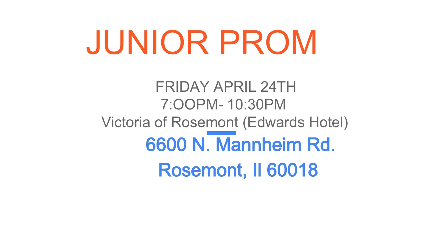# JUNIOR PROM

FRIDAY APRIL 24TH 7:OOPM - 10:30PM Victoria of Rosemont (Edwards Hotel) 6600 N. Mannheim Rd. Rosemont, Il 60018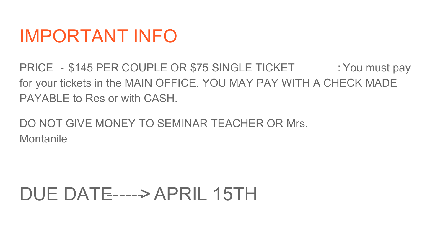### IMPORTANT INFO

PRICE - \$145 PER COUPLE OR \$75 SINGLE TICKET : You must pay for your tickets in the MAIN OFFICE. YOU MAY PAY WITH A CHECK MADE PAYABLE to Res or with CASH.

DO NOT GIVE MONEY TO SEMINAR TEACHER OR Mrs. **Montanile** 

## DUE DATE-----> APRIL 15TH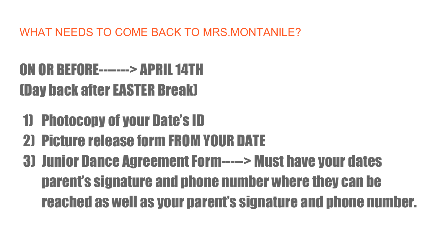WHAT NEEDS TO COME BACK TO MRS MONTANILE?

### ON OR BEFORE-------> APRIL 14TH (Day back after EASTER Break)

- 1) Photocopy of your Date's ID
- 2) Picture release form FROM YOUR DATE
- 3) Junior Dance Agreement Form-----> Must have your dates parent's signature and phone number where they can be reached as well as your parent's signature and phone number.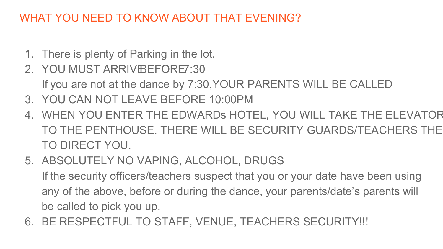#### WHAT YOU NEED TO KNOW ABOUT THAT EVENING?

- 1. There is plenty of Parking in the lot.
- 2. YOU MUST ARRIVE BEFORE 7:30
	- If you are not at the dance by 7:30, YOUR PARENTS WILL BE CALLED
- 3. YOU CAN NOT LEAVE BEFORE 10:00PM
- 4. WHEN YOU ENTER THE EDWARDs HOTEL, YOU WILL TAKE THE ELEVATOR TO THE PENTHOUSE. THERE WILL BE SECURITY GUARDS/TEACHERS THE TO DIRECT YOU.
- 5. ABSOLUTELY NO VAPING, ALCOHOL, DRUGS…. If the security officers/teachers suspect that you or your date have been using any of the above, before or during the dance, your parents/date's parents will be called to pick you up.
- 6. BE RESPECTFUL TO STAFF, VENUE, TEACHERS SECURITY!!!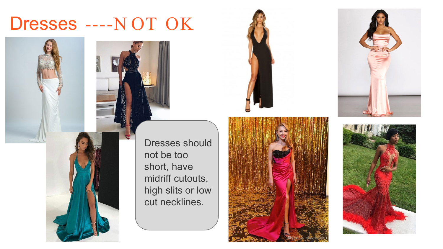#### Dresses ----N OT OK